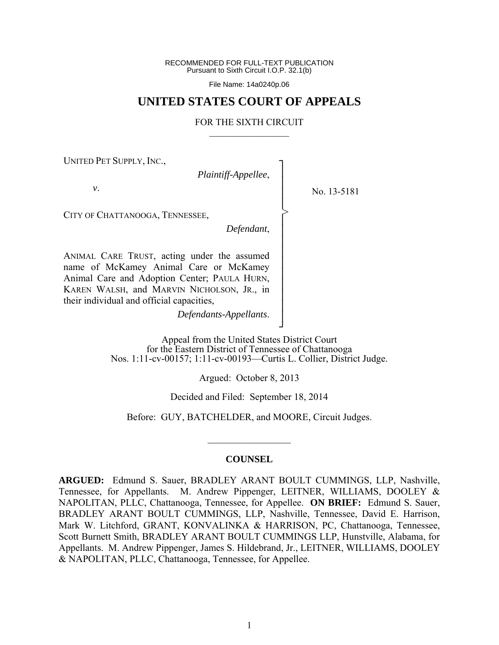RECOMMENDED FOR FULL-TEXT PUBLICATION Pursuant to Sixth Circuit I.O.P. 32.1(b)

File Name: 14a0240p.06

# **UNITED STATES COURT OF APPEALS**

#### FOR THE SIXTH CIRCUIT  $\mathcal{L}_\text{max}$

┐ │ │ │ │ │ │ │ │ │ │ │ │ │ │ ┘

>

UNITED PET SUPPLY, INC.,

*Plaintiff-Appellee*,

No. 13-5181

*v*.

CITY OF CHATTANOOGA, TENNESSEE,

*Defendant*,

ANIMAL CARE TRUST, acting under the assumed name of McKamey Animal Care or McKamey Animal Care and Adoption Center; PAULA HURN, KAREN WALSH, and MARVIN NICHOLSON, JR., in their individual and official capacities,

*Defendants-Appellants*.

Appeal from the United States District Court for the Eastern District of Tennessee of Chattanooga Nos. 1:11-cv-00157; 1:11-cv-00193—Curtis L. Collier, District Judge.

Argued: October 8, 2013

Decided and Filed: September 18, 2014

Before: GUY, BATCHELDER, and MOORE, Circuit Judges.

#### **COUNSEL**

 $\frac{1}{2}$ 

**ARGUED:** Edmund S. Sauer, BRADLEY ARANT BOULT CUMMINGS, LLP, Nashville, Tennessee, for Appellants. M. Andrew Pippenger, LEITNER, WILLIAMS, DOOLEY & NAPOLITAN, PLLC, Chattanooga, Tennessee, for Appellee. **ON BRIEF:** Edmund S. Sauer, BRADLEY ARANT BOULT CUMMINGS, LLP, Nashville, Tennessee, David E. Harrison, Mark W. Litchford, GRANT, KONVALINKA & HARRISON, PC, Chattanooga, Tennessee, Scott Burnett Smith, BRADLEY ARANT BOULT CUMMINGS LLP, Hunstville, Alabama, for Appellants. M. Andrew Pippenger, James S. Hildebrand, Jr., LEITNER, WILLIAMS, DOOLEY & NAPOLITAN, PLLC, Chattanooga, Tennessee, for Appellee.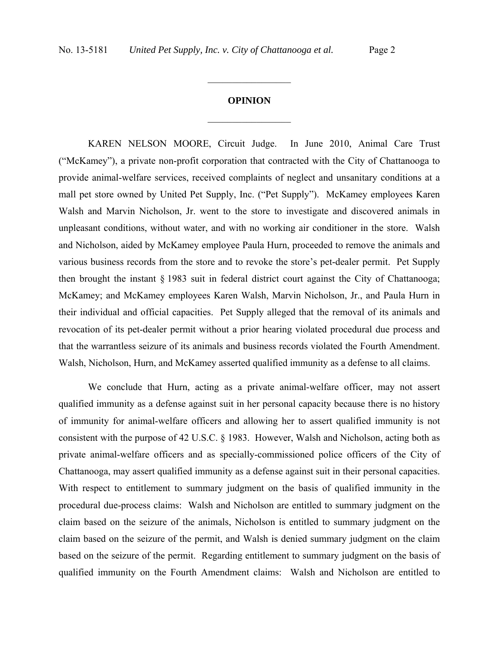### **OPINION**

 $\frac{1}{2}$ 

 $\frac{1}{2}$  ,  $\frac{1}{2}$  ,  $\frac{1}{2}$  ,  $\frac{1}{2}$  ,  $\frac{1}{2}$  ,  $\frac{1}{2}$  ,  $\frac{1}{2}$  ,  $\frac{1}{2}$  ,  $\frac{1}{2}$ 

KAREN NELSON MOORE, Circuit Judge. In June 2010, Animal Care Trust ("McKamey"), a private non-profit corporation that contracted with the City of Chattanooga to provide animal-welfare services, received complaints of neglect and unsanitary conditions at a mall pet store owned by United Pet Supply, Inc. ("Pet Supply"). McKamey employees Karen Walsh and Marvin Nicholson, Jr. went to the store to investigate and discovered animals in unpleasant conditions, without water, and with no working air conditioner in the store. Walsh and Nicholson, aided by McKamey employee Paula Hurn, proceeded to remove the animals and various business records from the store and to revoke the store's pet-dealer permit. Pet Supply then brought the instant § 1983 suit in federal district court against the City of Chattanooga; McKamey; and McKamey employees Karen Walsh, Marvin Nicholson, Jr., and Paula Hurn in their individual and official capacities. Pet Supply alleged that the removal of its animals and revocation of its pet-dealer permit without a prior hearing violated procedural due process and that the warrantless seizure of its animals and business records violated the Fourth Amendment. Walsh, Nicholson, Hurn, and McKamey asserted qualified immunity as a defense to all claims.

We conclude that Hurn, acting as a private animal-welfare officer, may not assert qualified immunity as a defense against suit in her personal capacity because there is no history of immunity for animal-welfare officers and allowing her to assert qualified immunity is not consistent with the purpose of 42 U.S.C. § 1983. However, Walsh and Nicholson, acting both as private animal-welfare officers and as specially-commissioned police officers of the City of Chattanooga, may assert qualified immunity as a defense against suit in their personal capacities. With respect to entitlement to summary judgment on the basis of qualified immunity in the procedural due-process claims: Walsh and Nicholson are entitled to summary judgment on the claim based on the seizure of the animals, Nicholson is entitled to summary judgment on the claim based on the seizure of the permit, and Walsh is denied summary judgment on the claim based on the seizure of the permit. Regarding entitlement to summary judgment on the basis of qualified immunity on the Fourth Amendment claims: Walsh and Nicholson are entitled to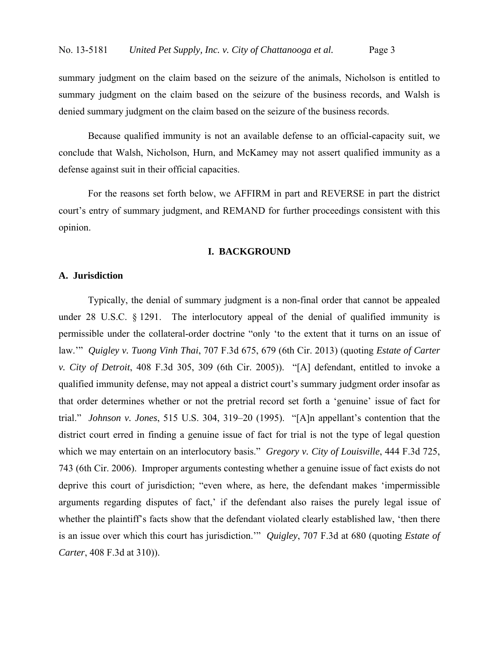summary judgment on the claim based on the seizure of the animals, Nicholson is entitled to summary judgment on the claim based on the seizure of the business records, and Walsh is denied summary judgment on the claim based on the seizure of the business records.

Because qualified immunity is not an available defense to an official-capacity suit, we conclude that Walsh, Nicholson, Hurn, and McKamey may not assert qualified immunity as a defense against suit in their official capacities.

For the reasons set forth below, we AFFIRM in part and REVERSE in part the district court's entry of summary judgment, and REMAND for further proceedings consistent with this opinion.

#### **I. BACKGROUND**

## **A. Jurisdiction**

 Typically, the denial of summary judgment is a non-final order that cannot be appealed under 28 U.S.C. § 1291. The interlocutory appeal of the denial of qualified immunity is permissible under the collateral-order doctrine "only 'to the extent that it turns on an issue of law.'" *Quigley v. Tuong Vinh Thai*, 707 F.3d 675, 679 (6th Cir. 2013) (quoting *Estate of Carter v. City of Detroit*, 408 F.3d 305, 309 (6th Cir. 2005)). "[A] defendant, entitled to invoke a qualified immunity defense, may not appeal a district court's summary judgment order insofar as that order determines whether or not the pretrial record set forth a 'genuine' issue of fact for trial." *Johnson v. Jones*, 515 U.S. 304, 319–20 (1995). "[A]n appellant's contention that the district court erred in finding a genuine issue of fact for trial is not the type of legal question which we may entertain on an interlocutory basis." *Gregory v. City of Louisville*, 444 F.3d 725, 743 (6th Cir. 2006). Improper arguments contesting whether a genuine issue of fact exists do not deprive this court of jurisdiction; "even where, as here, the defendant makes 'impermissible arguments regarding disputes of fact,' if the defendant also raises the purely legal issue of whether the plaintiff's facts show that the defendant violated clearly established law, 'then there is an issue over which this court has jurisdiction.'" *Quigley*, 707 F.3d at 680 (quoting *Estate of Carter*, 408 F.3d at 310)).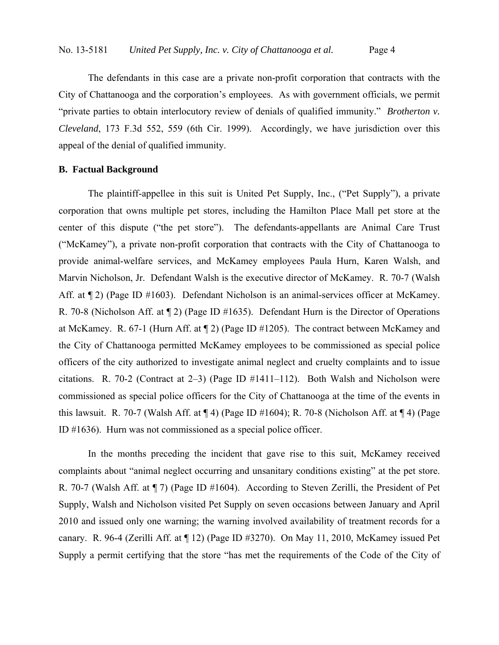The defendants in this case are a private non-profit corporation that contracts with the City of Chattanooga and the corporation's employees. As with government officials, we permit "private parties to obtain interlocutory review of denials of qualified immunity." *Brotherton v. Cleveland*, 173 F.3d 552, 559 (6th Cir. 1999). Accordingly, we have jurisdiction over this appeal of the denial of qualified immunity.

## **B. Factual Background**

 The plaintiff-appellee in this suit is United Pet Supply, Inc., ("Pet Supply"), a private corporation that owns multiple pet stores, including the Hamilton Place Mall pet store at the center of this dispute ("the pet store"). The defendants-appellants are Animal Care Trust ("McKamey"), a private non-profit corporation that contracts with the City of Chattanooga to provide animal-welfare services, and McKamey employees Paula Hurn, Karen Walsh, and Marvin Nicholson, Jr. Defendant Walsh is the executive director of McKamey. R. 70-7 (Walsh Aff. at  $\llbracket 2 \rrbracket$  (Page ID #1603). Defendant Nicholson is an animal-services officer at McKamey. R. 70-8 (Nicholson Aff. at ¶ 2) (Page ID #1635). Defendant Hurn is the Director of Operations at McKamey. R. 67-1 (Hurn Aff. at ¶ 2) (Page ID #1205). The contract between McKamey and the City of Chattanooga permitted McKamey employees to be commissioned as special police officers of the city authorized to investigate animal neglect and cruelty complaints and to issue citations. R. 70-2 (Contract at 2–3) (Page ID #1411–112). Both Walsh and Nicholson were commissioned as special police officers for the City of Chattanooga at the time of the events in this lawsuit. R. 70-7 (Walsh Aff. at  $\P$  4) (Page ID #1604); R. 70-8 (Nicholson Aff. at  $\P$  4) (Page ID #1636). Hurn was not commissioned as a special police officer.

In the months preceding the incident that gave rise to this suit, McKamey received complaints about "animal neglect occurring and unsanitary conditions existing" at the pet store. R. 70-7 (Walsh Aff. at ¶ 7) (Page ID #1604). According to Steven Zerilli, the President of Pet Supply, Walsh and Nicholson visited Pet Supply on seven occasions between January and April 2010 and issued only one warning; the warning involved availability of treatment records for a canary. R. 96-4 (Zerilli Aff. at ¶ 12) (Page ID #3270). On May 11, 2010, McKamey issued Pet Supply a permit certifying that the store "has met the requirements of the Code of the City of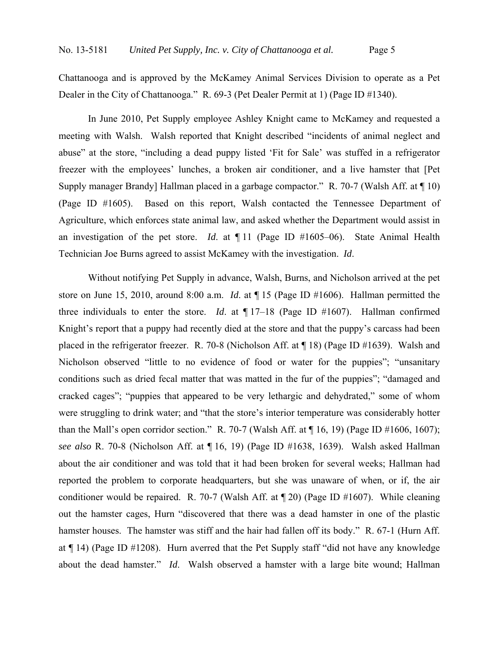Chattanooga and is approved by the McKamey Animal Services Division to operate as a Pet Dealer in the City of Chattanooga." R. 69-3 (Pet Dealer Permit at 1) (Page ID #1340).

 In June 2010, Pet Supply employee Ashley Knight came to McKamey and requested a meeting with Walsh. Walsh reported that Knight described "incidents of animal neglect and abuse" at the store, "including a dead puppy listed 'Fit for Sale' was stuffed in a refrigerator freezer with the employees' lunches, a broken air conditioner, and a live hamster that [Pet Supply manager Brandy] Hallman placed in a garbage compactor." R. 70-7 (Walsh Aff. at  $\P$  10) (Page ID #1605). Based on this report, Walsh contacted the Tennessee Department of Agriculture, which enforces state animal law, and asked whether the Department would assist in an investigation of the pet store. *Id*. at ¶ 11 (Page ID #1605–06). State Animal Health Technician Joe Burns agreed to assist McKamey with the investigation. *Id*.

Without notifying Pet Supply in advance, Walsh, Burns, and Nicholson arrived at the pet store on June 15, 2010, around 8:00 a.m. *Id*. at ¶ 15 (Page ID #1606). Hallman permitted the three individuals to enter the store. *Id*. at ¶ 17–18 (Page ID #1607). Hallman confirmed Knight's report that a puppy had recently died at the store and that the puppy's carcass had been placed in the refrigerator freezer. R. 70-8 (Nicholson Aff. at ¶ 18) (Page ID #1639). Walsh and Nicholson observed "little to no evidence of food or water for the puppies"; "unsanitary conditions such as dried fecal matter that was matted in the fur of the puppies"; "damaged and cracked cages"; "puppies that appeared to be very lethargic and dehydrated," some of whom were struggling to drink water; and "that the store's interior temperature was considerably hotter than the Mall's open corridor section." R. 70-7 (Walsh Aff. at  $\P$  16, 19) (Page ID #1606, 1607); *see also* R. 70-8 (Nicholson Aff. at ¶ 16, 19) (Page ID #1638, 1639). Walsh asked Hallman about the air conditioner and was told that it had been broken for several weeks; Hallman had reported the problem to corporate headquarters, but she was unaware of when, or if, the air conditioner would be repaired. R. 70-7 (Walsh Aff. at ¶ 20) (Page ID #1607). While cleaning out the hamster cages, Hurn "discovered that there was a dead hamster in one of the plastic hamster houses. The hamster was stiff and the hair had fallen off its body." R. 67-1 (Hurn Aff. at ¶ 14) (Page ID #1208). Hurn averred that the Pet Supply staff "did not have any knowledge about the dead hamster." *Id*. Walsh observed a hamster with a large bite wound; Hallman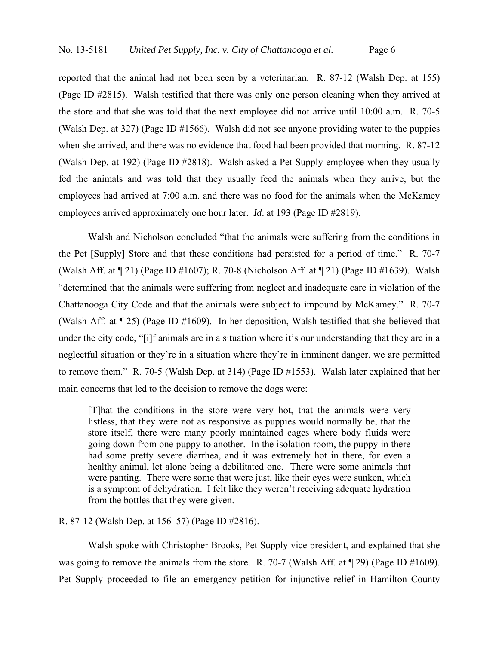reported that the animal had not been seen by a veterinarian. R. 87-12 (Walsh Dep. at 155) (Page ID #2815). Walsh testified that there was only one person cleaning when they arrived at the store and that she was told that the next employee did not arrive until 10:00 a.m. R. 70-5 (Walsh Dep. at 327) (Page ID #1566). Walsh did not see anyone providing water to the puppies when she arrived, and there was no evidence that food had been provided that morning. R. 87-12 (Walsh Dep. at 192) (Page ID #2818). Walsh asked a Pet Supply employee when they usually fed the animals and was told that they usually feed the animals when they arrive, but the employees had arrived at 7:00 a.m. and there was no food for the animals when the McKamey employees arrived approximately one hour later. *Id*. at 193 (Page ID #2819).

Walsh and Nicholson concluded "that the animals were suffering from the conditions in the Pet [Supply] Store and that these conditions had persisted for a period of time." R. 70-7 (Walsh Aff. at ¶ 21) (Page ID #1607); R. 70-8 (Nicholson Aff. at ¶ 21) (Page ID #1639). Walsh "determined that the animals were suffering from neglect and inadequate care in violation of the Chattanooga City Code and that the animals were subject to impound by McKamey." R. 70-7 (Walsh Aff. at ¶ 25) (Page ID #1609). In her deposition, Walsh testified that she believed that under the city code, "[i]f animals are in a situation where it's our understanding that they are in a neglectful situation or they're in a situation where they're in imminent danger, we are permitted to remove them." R. 70-5 (Walsh Dep. at 314) (Page ID #1553). Walsh later explained that her main concerns that led to the decision to remove the dogs were:

[T]hat the conditions in the store were very hot, that the animals were very listless, that they were not as responsive as puppies would normally be, that the store itself, there were many poorly maintained cages where body fluids were going down from one puppy to another. In the isolation room, the puppy in there had some pretty severe diarrhea, and it was extremely hot in there, for even a healthy animal, let alone being a debilitated one. There were some animals that were panting. There were some that were just, like their eyes were sunken, which is a symptom of dehydration. I felt like they weren't receiving adequate hydration from the bottles that they were given.

### R. 87-12 (Walsh Dep. at 156–57) (Page ID #2816).

Walsh spoke with Christopher Brooks, Pet Supply vice president, and explained that she was going to remove the animals from the store. R. 70-7 (Walsh Aff. at  $\P$  29) (Page ID #1609). Pet Supply proceeded to file an emergency petition for injunctive relief in Hamilton County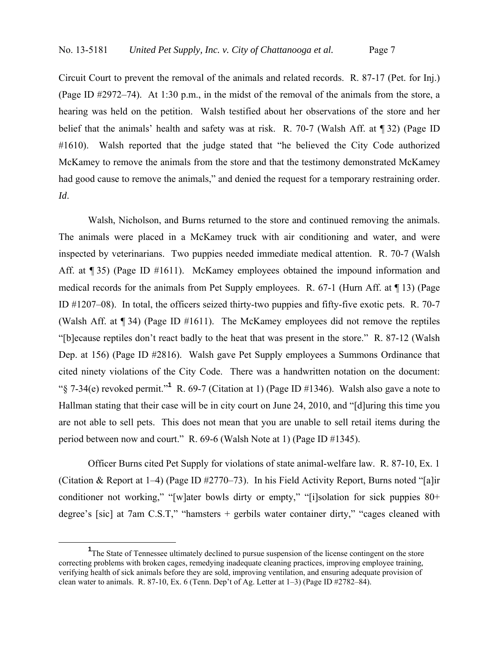Circuit Court to prevent the removal of the animals and related records. R. 87-17 (Pet. for Inj.) (Page ID #2972–74). At 1:30 p.m., in the midst of the removal of the animals from the store, a hearing was held on the petition. Walsh testified about her observations of the store and her belief that the animals' health and safety was at risk. R. 70-7 (Walsh Aff. at ¶ 32) (Page ID #1610). Walsh reported that the judge stated that "he believed the City Code authorized McKamey to remove the animals from the store and that the testimony demonstrated McKamey had good cause to remove the animals," and denied the request for a temporary restraining order. *Id*.

Walsh, Nicholson, and Burns returned to the store and continued removing the animals. The animals were placed in a McKamey truck with air conditioning and water, and were inspected by veterinarians. Two puppies needed immediate medical attention. R. 70-7 (Walsh Aff. at  $\sim$  35) (Page ID #1611). McKamey employees obtained the impound information and medical records for the animals from Pet Supply employees. R. 67-1 (Hurn Aff. at ¶ 13) (Page ID #1207–08). In total, the officers seized thirty-two puppies and fifty-five exotic pets. R. 70-7 (Walsh Aff. at ¶ 34) (Page ID #1611). The McKamey employees did not remove the reptiles "[b]ecause reptiles don't react badly to the heat that was present in the store." R. 87-12 (Walsh Dep. at 156) (Page ID #2816). Walsh gave Pet Supply employees a Summons Ordinance that cited ninety violations of the City Code. There was a handwritten notation on the document: "§ 7-34(e) revoked permit."**<sup>1</sup>** R. 69-7 (Citation at 1) (Page ID #1346). Walsh also gave a note to Hallman stating that their case will be in city court on June 24, 2010, and "[d]uring this time you are not able to sell pets. This does not mean that you are unable to sell retail items during the period between now and court." R. 69-6 (Walsh Note at 1) (Page ID #1345).

Officer Burns cited Pet Supply for violations of state animal-welfare law. R. 87-10, Ex. 1 (Citation & Report at 1–4) (Page ID #2770–73). In his Field Activity Report, Burns noted "[a]ir conditioner not working," "[w]ater bowls dirty or empty," "[i]solation for sick puppies 80+ degree's [sic] at 7am C.S.T," "hamsters + gerbils water container dirty," "cages cleaned with

<sup>&</sup>lt;u>1</u> <sup>1</sup>The State of Tennessee ultimately declined to pursue suspension of the license contingent on the store correcting problems with broken cages, remedying inadequate cleaning practices, improving employee training, verifying health of sick animals before they are sold, improving ventilation, and ensuring adequate provision of clean water to animals. R. 87-10, Ex. 6 (Tenn. Dep't of Ag. Letter at 1–3) (Page ID #2782–84).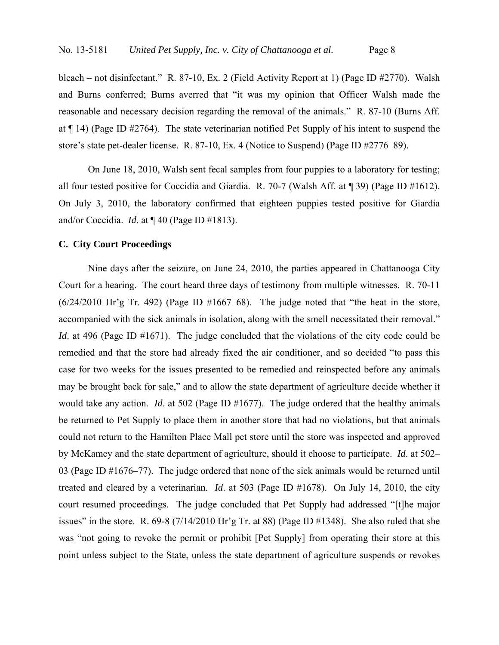bleach – not disinfectant." R. 87-10, Ex. 2 (Field Activity Report at 1) (Page ID #2770). Walsh and Burns conferred; Burns averred that "it was my opinion that Officer Walsh made the reasonable and necessary decision regarding the removal of the animals." R. 87-10 (Burns Aff. at ¶ 14) (Page ID #2764). The state veterinarian notified Pet Supply of his intent to suspend the store's state pet-dealer license. R. 87-10, Ex. 4 (Notice to Suspend) (Page ID #2776–89).

On June 18, 2010, Walsh sent fecal samples from four puppies to a laboratory for testing; all four tested positive for Coccidia and Giardia. R. 70-7 (Walsh Aff. at ¶ 39) (Page ID #1612). On July 3, 2010, the laboratory confirmed that eighteen puppies tested positive for Giardia and/or Coccidia. *Id*. at ¶ 40 (Page ID #1813).

## **C. City Court Proceedings**

Nine days after the seizure, on June 24, 2010, the parties appeared in Chattanooga City Court for a hearing. The court heard three days of testimony from multiple witnesses. R. 70-11  $(6/24/2010$  Hr'g Tr. 492) (Page ID #1667–68). The judge noted that "the heat in the store, accompanied with the sick animals in isolation, along with the smell necessitated their removal." *Id.* at 496 (Page ID #1671). The judge concluded that the violations of the city code could be remedied and that the store had already fixed the air conditioner, and so decided "to pass this case for two weeks for the issues presented to be remedied and reinspected before any animals may be brought back for sale," and to allow the state department of agriculture decide whether it would take any action. *Id*. at 502 (Page ID #1677). The judge ordered that the healthy animals be returned to Pet Supply to place them in another store that had no violations, but that animals could not return to the Hamilton Place Mall pet store until the store was inspected and approved by McKamey and the state department of agriculture, should it choose to participate. *Id*. at 502– 03 (Page ID #1676–77). The judge ordered that none of the sick animals would be returned until treated and cleared by a veterinarian. *Id*. at 503 (Page ID #1678). On July 14, 2010, the city court resumed proceedings. The judge concluded that Pet Supply had addressed "[t]he major issues" in the store. R. 69-8 (7/14/2010 Hr'g Tr. at 88) (Page ID #1348). She also ruled that she was "not going to revoke the permit or prohibit [Pet Supply] from operating their store at this point unless subject to the State, unless the state department of agriculture suspends or revokes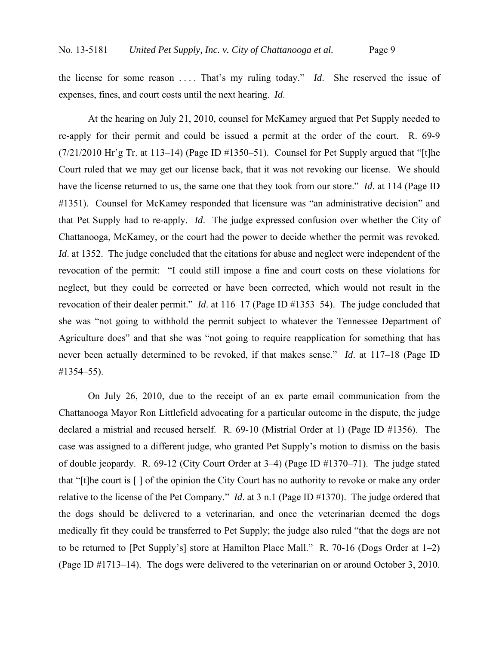the license for some reason . . . . That's my ruling today." *Id*. She reserved the issue of expenses, fines, and court costs until the next hearing. *Id*.

At the hearing on July 21, 2010, counsel for McKamey argued that Pet Supply needed to re-apply for their permit and could be issued a permit at the order of the court. R. 69-9  $(7/21/2010$  Hr'g Tr. at 113–14) (Page ID #1350–51). Counsel for Pet Supply argued that "[t]he Court ruled that we may get our license back, that it was not revoking our license. We should have the license returned to us, the same one that they took from our store." *Id*. at 114 (Page ID #1351). Counsel for McKamey responded that licensure was "an administrative decision" and that Pet Supply had to re-apply. *Id*. The judge expressed confusion over whether the City of Chattanooga, McKamey, or the court had the power to decide whether the permit was revoked. *Id.* at 1352. The judge concluded that the citations for abuse and neglect were independent of the revocation of the permit: "I could still impose a fine and court costs on these violations for neglect, but they could be corrected or have been corrected, which would not result in the revocation of their dealer permit." *Id*. at 116–17 (Page ID #1353–54). The judge concluded that she was "not going to withhold the permit subject to whatever the Tennessee Department of Agriculture does" and that she was "not going to require reapplication for something that has never been actually determined to be revoked, if that makes sense." *Id*. at 117–18 (Page ID #1354–55).

On July 26, 2010, due to the receipt of an ex parte email communication from the Chattanooga Mayor Ron Littlefield advocating for a particular outcome in the dispute, the judge declared a mistrial and recused herself. R. 69-10 (Mistrial Order at 1) (Page ID #1356). The case was assigned to a different judge, who granted Pet Supply's motion to dismiss on the basis of double jeopardy. R. 69-12 (City Court Order at 3–4) (Page ID #1370–71). The judge stated that "[t]he court is [ ] of the opinion the City Court has no authority to revoke or make any order relative to the license of the Pet Company." *Id*. at 3 n.1 (Page ID #1370). The judge ordered that the dogs should be delivered to a veterinarian, and once the veterinarian deemed the dogs medically fit they could be transferred to Pet Supply; the judge also ruled "that the dogs are not to be returned to [Pet Supply's] store at Hamilton Place Mall." R. 70-16 (Dogs Order at 1–2) (Page ID #1713–14). The dogs were delivered to the veterinarian on or around October 3, 2010.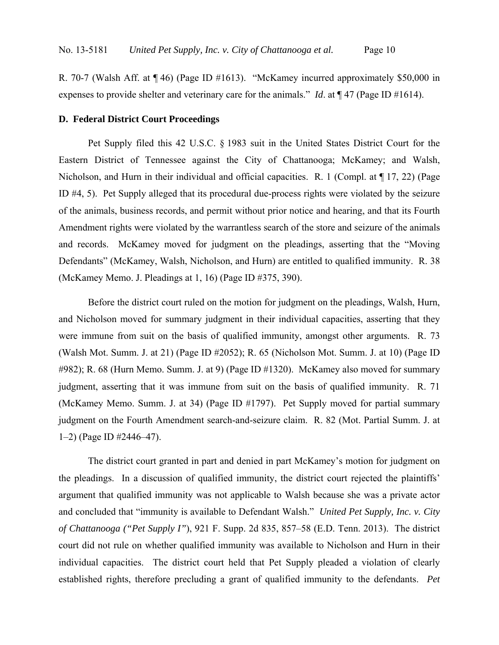R. 70-7 (Walsh Aff. at ¶ 46) (Page ID #1613). "McKamey incurred approximately \$50,000 in expenses to provide shelter and veterinary care for the animals." *Id*. at ¶ 47 (Page ID #1614).

### **D. Federal District Court Proceedings**

Pet Supply filed this 42 U.S.C. § 1983 suit in the United States District Court for the Eastern District of Tennessee against the City of Chattanooga; McKamey; and Walsh, Nicholson, and Hurn in their individual and official capacities. R. 1 (Compl. at  $\P$  17, 22) (Page ID #4, 5). Pet Supply alleged that its procedural due-process rights were violated by the seizure of the animals, business records, and permit without prior notice and hearing, and that its Fourth Amendment rights were violated by the warrantless search of the store and seizure of the animals and records. McKamey moved for judgment on the pleadings, asserting that the "Moving Defendants" (McKamey, Walsh, Nicholson, and Hurn) are entitled to qualified immunity. R. 38 (McKamey Memo. J. Pleadings at 1, 16) (Page ID #375, 390).

Before the district court ruled on the motion for judgment on the pleadings, Walsh, Hurn, and Nicholson moved for summary judgment in their individual capacities, asserting that they were immune from suit on the basis of qualified immunity, amongst other arguments. R. 73 (Walsh Mot. Summ. J. at 21) (Page ID #2052); R. 65 (Nicholson Mot. Summ. J. at 10) (Page ID #982); R. 68 (Hurn Memo. Summ. J. at 9) (Page ID #1320). McKamey also moved for summary judgment, asserting that it was immune from suit on the basis of qualified immunity. R. 71 (McKamey Memo. Summ. J. at 34) (Page ID #1797). Pet Supply moved for partial summary judgment on the Fourth Amendment search-and-seizure claim. R. 82 (Mot. Partial Summ. J. at 1–2) (Page ID #2446–47).

The district court granted in part and denied in part McKamey's motion for judgment on the pleadings. In a discussion of qualified immunity, the district court rejected the plaintiffs' argument that qualified immunity was not applicable to Walsh because she was a private actor and concluded that "immunity is available to Defendant Walsh." *United Pet Supply, Inc. v. City of Chattanooga ("Pet Supply I"*), 921 F. Supp. 2d 835, 857–58 (E.D. Tenn. 2013). The district court did not rule on whether qualified immunity was available to Nicholson and Hurn in their individual capacities. The district court held that Pet Supply pleaded a violation of clearly established rights, therefore precluding a grant of qualified immunity to the defendants. *Pet*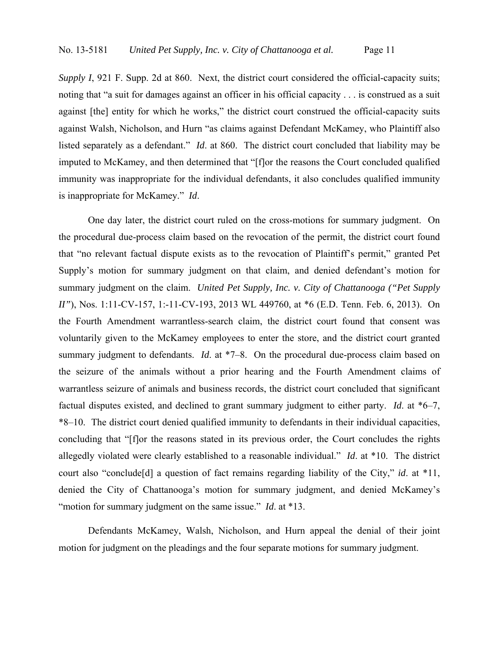*Supply I*, 921 F. Supp. 2d at 860. Next, the district court considered the official-capacity suits; noting that "a suit for damages against an officer in his official capacity . . . is construed as a suit against [the] entity for which he works," the district court construed the official-capacity suits against Walsh, Nicholson, and Hurn "as claims against Defendant McKamey, who Plaintiff also listed separately as a defendant." *Id*. at 860. The district court concluded that liability may be imputed to McKamey, and then determined that "[f]or the reasons the Court concluded qualified immunity was inappropriate for the individual defendants, it also concludes qualified immunity is inappropriate for McKamey." *Id*.

 One day later, the district court ruled on the cross-motions for summary judgment. On the procedural due-process claim based on the revocation of the permit, the district court found that "no relevant factual dispute exists as to the revocation of Plaintiff's permit," granted Pet Supply's motion for summary judgment on that claim, and denied defendant's motion for summary judgment on the claim. *United Pet Supply, Inc. v. City of Chattanooga ("Pet Supply II"*), Nos. 1:11-CV-157, 1:-11-CV-193, 2013 WL 449760, at  $*6$  (E.D. Tenn. Feb. 6, 2013). On the Fourth Amendment warrantless-search claim, the district court found that consent was voluntarily given to the McKamey employees to enter the store, and the district court granted summary judgment to defendants. *Id.* at \*7–8. On the procedural due-process claim based on the seizure of the animals without a prior hearing and the Fourth Amendment claims of warrantless seizure of animals and business records, the district court concluded that significant factual disputes existed, and declined to grant summary judgment to either party. *Id*. at \*6–7, \*8–10. The district court denied qualified immunity to defendants in their individual capacities, concluding that "[f]or the reasons stated in its previous order, the Court concludes the rights allegedly violated were clearly established to a reasonable individual." *Id*. at \*10. The district court also "conclude[d] a question of fact remains regarding liability of the City," *id*. at \*11, denied the City of Chattanooga's motion for summary judgment, and denied McKamey's "motion for summary judgment on the same issue." *Id.* at \*13.

 Defendants McKamey, Walsh, Nicholson, and Hurn appeal the denial of their joint motion for judgment on the pleadings and the four separate motions for summary judgment.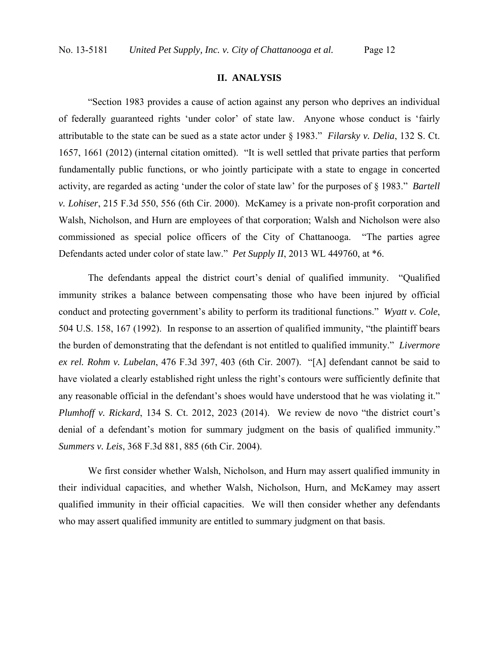## **II. ANALYSIS**

"Section 1983 provides a cause of action against any person who deprives an individual of federally guaranteed rights 'under color' of state law. Anyone whose conduct is 'fairly attributable to the state can be sued as a state actor under § 1983." *Filarsky v. Delia*, 132 S. Ct. 1657, 1661 (2012) (internal citation omitted). "It is well settled that private parties that perform fundamentally public functions, or who jointly participate with a state to engage in concerted activity, are regarded as acting 'under the color of state law' for the purposes of § 1983." *Bartell v. Lohiser*, 215 F.3d 550, 556 (6th Cir. 2000). McKamey is a private non-profit corporation and Walsh, Nicholson, and Hurn are employees of that corporation; Walsh and Nicholson were also commissioned as special police officers of the City of Chattanooga. "The parties agree Defendants acted under color of state law." *Pet Supply II*, 2013 WL 449760, at \*6.

The defendants appeal the district court's denial of qualified immunity. "Qualified immunity strikes a balance between compensating those who have been injured by official conduct and protecting government's ability to perform its traditional functions." *Wyatt v. Cole*, 504 U.S. 158, 167 (1992). In response to an assertion of qualified immunity, "the plaintiff bears the burden of demonstrating that the defendant is not entitled to qualified immunity." *Livermore ex rel. Rohm v. Lubelan*, 476 F.3d 397, 403 (6th Cir. 2007). "[A] defendant cannot be said to have violated a clearly established right unless the right's contours were sufficiently definite that any reasonable official in the defendant's shoes would have understood that he was violating it." *Plumhoff v. Rickard*, 134 S. Ct. 2012, 2023 (2014). We review de novo "the district court's denial of a defendant's motion for summary judgment on the basis of qualified immunity." *Summers v. Leis*, 368 F.3d 881, 885 (6th Cir. 2004).

We first consider whether Walsh, Nicholson, and Hurn may assert qualified immunity in their individual capacities, and whether Walsh, Nicholson, Hurn, and McKamey may assert qualified immunity in their official capacities. We will then consider whether any defendants who may assert qualified immunity are entitled to summary judgment on that basis.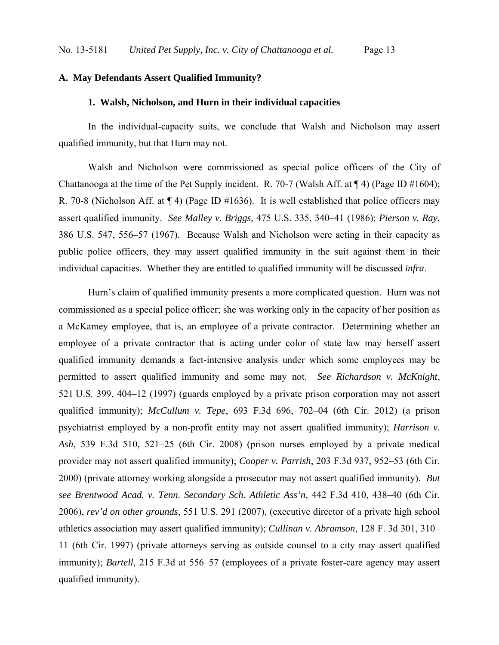## **A. May Defendants Assert Qualified Immunity?**

#### **1. Walsh, Nicholson, and Hurn in their individual capacities**

In the individual-capacity suits, we conclude that Walsh and Nicholson may assert qualified immunity, but that Hurn may not.

Walsh and Nicholson were commissioned as special police officers of the City of Chattanooga at the time of the Pet Supply incident. R. 70-7 (Walsh Aff. at ¶ 4) (Page ID #1604); R. 70-8 (Nicholson Aff. at ¶ 4) (Page ID #1636). It is well established that police officers may assert qualified immunity. *See Malley v. Briggs*, 475 U.S. 335, 340–41 (1986); *Pierson v. Ray*, 386 U.S. 547, 556–57 (1967). Because Walsh and Nicholson were acting in their capacity as public police officers, they may assert qualified immunity in the suit against them in their individual capacities. Whether they are entitled to qualified immunity will be discussed *infra*.

Hurn's claim of qualified immunity presents a more complicated question. Hurn was not commissioned as a special police officer; she was working only in the capacity of her position as a McKamey employee, that is, an employee of a private contractor. Determining whether an employee of a private contractor that is acting under color of state law may herself assert qualified immunity demands a fact-intensive analysis under which some employees may be permitted to assert qualified immunity and some may not. *See Richardson v. McKnight*, 521 U.S. 399, 404–12 (1997) (guards employed by a private prison corporation may not assert qualified immunity); *McCullum v. Tepe*, 693 F.3d 696, 702–04 (6th Cir. 2012) (a prison psychiatrist employed by a non-profit entity may not assert qualified immunity); *Harrison v. Ash*, 539 F.3d 510, 521–25 (6th Cir. 2008) (prison nurses employed by a private medical provider may not assert qualified immunity); *Cooper v. Parrish*, 203 F.3d 937, 952–53 (6th Cir. 2000) (private attorney working alongside a prosecutor may not assert qualified immunity). *But see Brentwood Acad. v. Tenn. Secondary Sch. Athletic Ass'n*, 442 F.3d 410, 438–40 (6th Cir. 2006), *rev'd on other grounds*, 551 U.S. 291 (2007), (executive director of a private high school athletics association may assert qualified immunity); *Cullinan v. Abramson*, 128 F. 3d 301, 310– 11 (6th Cir. 1997) (private attorneys serving as outside counsel to a city may assert qualified immunity); *Bartell*, 215 F.3d at 556–57 (employees of a private foster-care agency may assert qualified immunity).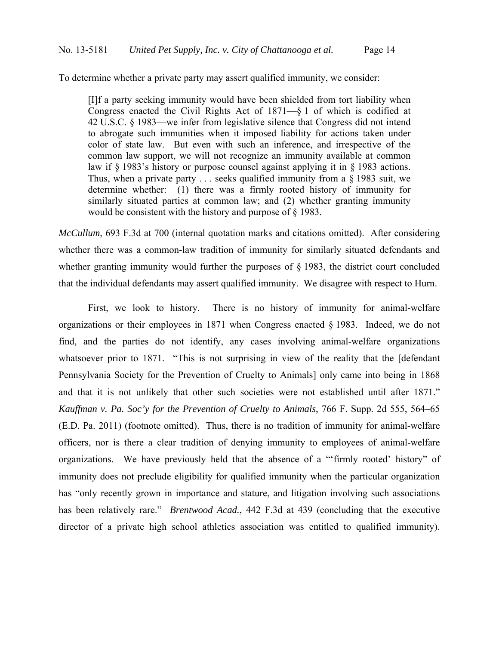To determine whether a private party may assert qualified immunity, we consider:

[I]f a party seeking immunity would have been shielded from tort liability when Congress enacted the Civil Rights Act of 1871—§ 1 of which is codified at 42 U.S.C. § 1983—we infer from legislative silence that Congress did not intend to abrogate such immunities when it imposed liability for actions taken under color of state law. But even with such an inference, and irrespective of the common law support, we will not recognize an immunity available at common law if § 1983's history or purpose counsel against applying it in § 1983 actions. Thus, when a private party  $\ldots$  seeks qualified immunity from a § 1983 suit, we determine whether: (1) there was a firmly rooted history of immunity for similarly situated parties at common law; and (2) whether granting immunity would be consistent with the history and purpose of § 1983.

*McCullum*, 693 F.3d at 700 (internal quotation marks and citations omitted). After considering whether there was a common-law tradition of immunity for similarly situated defendants and whether granting immunity would further the purposes of § 1983, the district court concluded that the individual defendants may assert qualified immunity. We disagree with respect to Hurn.

 First, we look to history. There is no history of immunity for animal-welfare organizations or their employees in 1871 when Congress enacted § 1983. Indeed, we do not find, and the parties do not identify, any cases involving animal-welfare organizations whatsoever prior to 1871. "This is not surprising in view of the reality that the [defendant Pennsylvania Society for the Prevention of Cruelty to Animals] only came into being in 1868 and that it is not unlikely that other such societies were not established until after 1871." *Kauffman v. Pa. Soc'y for the Prevention of Cruelty to Animals*, 766 F. Supp. 2d 555, 564–65 (E.D. Pa. 2011) (footnote omitted). Thus, there is no tradition of immunity for animal-welfare officers, nor is there a clear tradition of denying immunity to employees of animal-welfare organizations. We have previously held that the absence of a "'firmly rooted' history" of immunity does not preclude eligibility for qualified immunity when the particular organization has "only recently grown in importance and stature, and litigation involving such associations has been relatively rare." *Brentwood Acad.*, 442 F.3d at 439 (concluding that the executive director of a private high school athletics association was entitled to qualified immunity).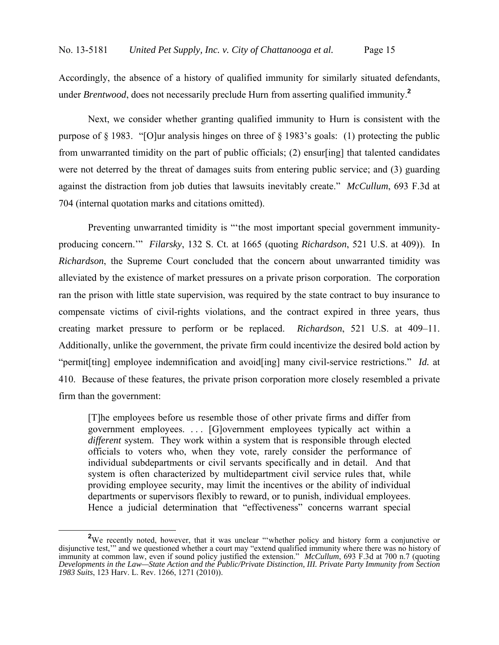Accordingly, the absence of a history of qualified immunity for similarly situated defendants, under *Brentwood*, does not necessarily preclude Hurn from asserting qualified immunity.**<sup>2</sup>**

 Next, we consider whether granting qualified immunity to Hurn is consistent with the purpose of § 1983. "[O]ur analysis hinges on three of § 1983's goals: (1) protecting the public from unwarranted timidity on the part of public officials; (2) ensur[ing] that talented candidates were not deterred by the threat of damages suits from entering public service; and (3) guarding against the distraction from job duties that lawsuits inevitably create." *McCullum*, 693 F.3d at 704 (internal quotation marks and citations omitted).

 Preventing unwarranted timidity is "'the most important special government immunityproducing concern.'" *Filarsky*, 132 S. Ct. at 1665 (quoting *Richardson*, 521 U.S. at 409)). In *Richardson*, the Supreme Court concluded that the concern about unwarranted timidity was alleviated by the existence of market pressures on a private prison corporation. The corporation ran the prison with little state supervision, was required by the state contract to buy insurance to compensate victims of civil-rights violations, and the contract expired in three years, thus creating market pressure to perform or be replaced. *Richardson*, 521 U.S. at 409–11. Additionally, unlike the government, the private firm could incentivize the desired bold action by "permit[ting] employee indemnification and avoid[ing] many civil-service restrictions." *Id.* at 410. Because of these features, the private prison corporation more closely resembled a private firm than the government:

[T]he employees before us resemble those of other private firms and differ from government employees. . . . [G]overnment employees typically act within a *different* system. They work within a system that is responsible through elected officials to voters who, when they vote, rarely consider the performance of individual subdepartments or civil servants specifically and in detail. And that system is often characterized by multidepartment civil service rules that, while providing employee security, may limit the incentives or the ability of individual departments or supervisors flexibly to reward, or to punish, individual employees. Hence a judicial determination that "effectiveness" concerns warrant special

<sup>&</sup>lt;sup>2</sup>We recently noted, however, that it was unclear "whether policy and history form a conjunctive or disjunctive test,'" and we questioned whether a court may "extend qualified immunity where there was no history of immunity at common law, even if sound policy justified the extension." *McCullum*, 693 F.3d at 700 n.7 (quoting *Developments in the Law—State Action and the Public/Private Distinction, III. Private Party Immunity from Section 1983 Suits*, 123 Harv. L. Rev. 1266, 1271 (2010)).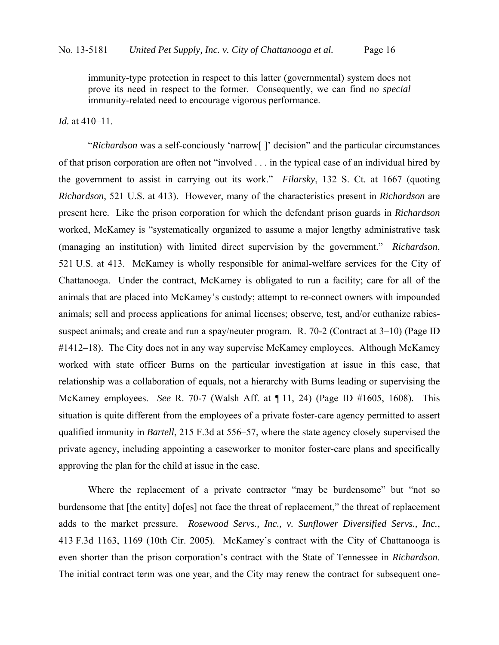immunity-type protection in respect to this latter (governmental) system does not prove its need in respect to the former. Consequently, we can find no *special* immunity-related need to encourage vigorous performance.

## *Id.* at 410–11.

"*Richardson* was a self-conciously 'narrow[ ]' decision" and the particular circumstances of that prison corporation are often not "involved . . . in the typical case of an individual hired by the government to assist in carrying out its work." *Filarsky*, 132 S. Ct. at 1667 (quoting *Richardson*, 521 U.S. at 413). However, many of the characteristics present in *Richardson* are present here. Like the prison corporation for which the defendant prison guards in *Richardson* worked, McKamey is "systematically organized to assume a major lengthy administrative task (managing an institution) with limited direct supervision by the government." *Richardson*, 521 U.S. at 413. McKamey is wholly responsible for animal-welfare services for the City of Chattanooga. Under the contract, McKamey is obligated to run a facility; care for all of the animals that are placed into McKamey's custody; attempt to re-connect owners with impounded animals; sell and process applications for animal licenses; observe, test, and/or euthanize rabiessuspect animals; and create and run a spay/neuter program. R. 70-2 (Contract at 3–10) (Page ID #1412–18). The City does not in any way supervise McKamey employees. Although McKamey worked with state officer Burns on the particular investigation at issue in this case, that relationship was a collaboration of equals, not a hierarchy with Burns leading or supervising the McKamey employees. *See* R. 70-7 (Walsh Aff. at ¶ 11, 24) (Page ID #1605, 1608). This situation is quite different from the employees of a private foster-care agency permitted to assert qualified immunity in *Bartell*, 215 F.3d at 556–57, where the state agency closely supervised the private agency, including appointing a caseworker to monitor foster-care plans and specifically approving the plan for the child at issue in the case.

Where the replacement of a private contractor "may be burdensome" but "not so burdensome that [the entity] do[es] not face the threat of replacement," the threat of replacement adds to the market pressure. *Rosewood Servs., Inc., v. Sunflower Diversified Servs., Inc.*, 413 F.3d 1163, 1169 (10th Cir. 2005). McKamey's contract with the City of Chattanooga is even shorter than the prison corporation's contract with the State of Tennessee in *Richardson*. The initial contract term was one year, and the City may renew the contract for subsequent one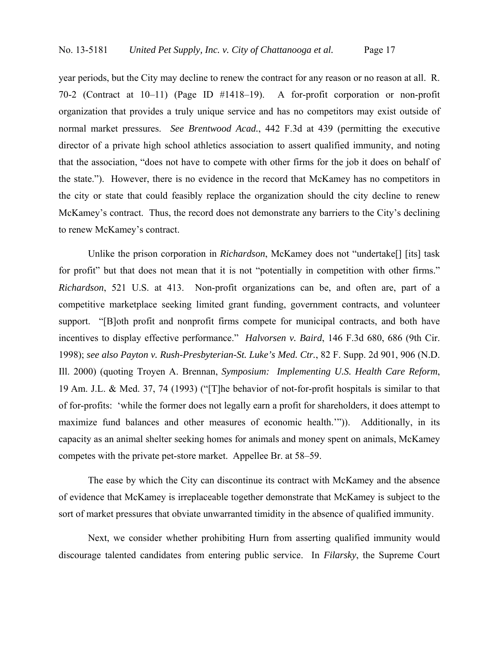year periods, but the City may decline to renew the contract for any reason or no reason at all. R. 70-2 (Contract at 10–11) (Page ID #1418–19). A for-profit corporation or non-profit organization that provides a truly unique service and has no competitors may exist outside of normal market pressures. *See Brentwood Acad.*, 442 F.3d at 439 (permitting the executive director of a private high school athletics association to assert qualified immunity, and noting that the association, "does not have to compete with other firms for the job it does on behalf of the state."). However, there is no evidence in the record that McKamey has no competitors in the city or state that could feasibly replace the organization should the city decline to renew McKamey's contract. Thus, the record does not demonstrate any barriers to the City's declining to renew McKamey's contract.

Unlike the prison corporation in *Richardson*, McKamey does not "undertake[] [its] task for profit" but that does not mean that it is not "potentially in competition with other firms." *Richardson*, 521 U.S. at 413. Non-profit organizations can be, and often are, part of a competitive marketplace seeking limited grant funding, government contracts, and volunteer support. "[B]oth profit and nonprofit firms compete for municipal contracts, and both have incentives to display effective performance." *Halvorsen v. Baird*, 146 F.3d 680, 686 (9th Cir. 1998); *see also Payton v. Rush-Presbyterian-St. Luke's Med. Ctr.*, 82 F. Supp. 2d 901, 906 (N.D. Ill. 2000) (quoting Troyen A. Brennan, *Symposium: Implementing U.S. Health Care Reform*, 19 Am. J.L. & Med. 37, 74 (1993) ("[T]he behavior of not-for-profit hospitals is similar to that of for-profits: 'while the former does not legally earn a profit for shareholders, it does attempt to maximize fund balances and other measures of economic health.'")). Additionally, in its capacity as an animal shelter seeking homes for animals and money spent on animals, McKamey competes with the private pet-store market. Appellee Br. at 58–59.

 The ease by which the City can discontinue its contract with McKamey and the absence of evidence that McKamey is irreplaceable together demonstrate that McKamey is subject to the sort of market pressures that obviate unwarranted timidity in the absence of qualified immunity.

 Next, we consider whether prohibiting Hurn from asserting qualified immunity would discourage talented candidates from entering public service. In *Filarsky*, the Supreme Court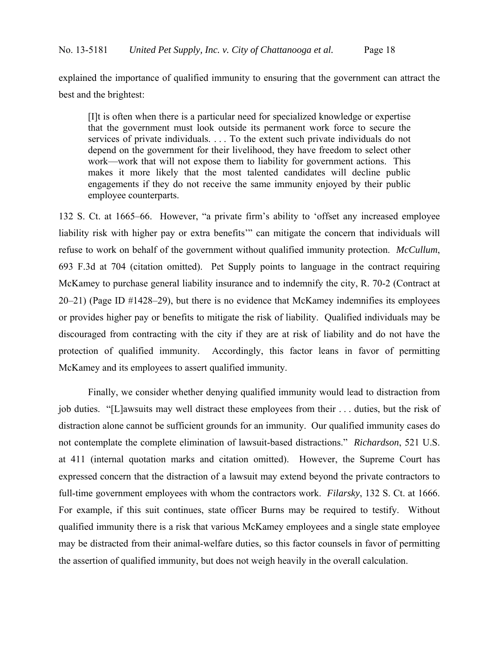explained the importance of qualified immunity to ensuring that the government can attract the best and the brightest:

[I]t is often when there is a particular need for specialized knowledge or expertise that the government must look outside its permanent work force to secure the services of private individuals. . . . To the extent such private individuals do not depend on the government for their livelihood, they have freedom to select other work—work that will not expose them to liability for government actions. This makes it more likely that the most talented candidates will decline public engagements if they do not receive the same immunity enjoyed by their public employee counterparts.

132 S. Ct. at 1665–66. However, "a private firm's ability to 'offset any increased employee liability risk with higher pay or extra benefits'" can mitigate the concern that individuals will refuse to work on behalf of the government without qualified immunity protection. *McCullum*, 693 F.3d at 704 (citation omitted). Pet Supply points to language in the contract requiring McKamey to purchase general liability insurance and to indemnify the city, R. 70-2 (Contract at 20–21) (Page ID #1428–29), but there is no evidence that McKamey indemnifies its employees or provides higher pay or benefits to mitigate the risk of liability. Qualified individuals may be discouraged from contracting with the city if they are at risk of liability and do not have the protection of qualified immunity. Accordingly, this factor leans in favor of permitting McKamey and its employees to assert qualified immunity.

 Finally, we consider whether denying qualified immunity would lead to distraction from job duties. "[L]awsuits may well distract these employees from their . . . duties, but the risk of distraction alone cannot be sufficient grounds for an immunity. Our qualified immunity cases do not contemplate the complete elimination of lawsuit-based distractions." *Richardson*, 521 U.S. at 411 (internal quotation marks and citation omitted). However, the Supreme Court has expressed concern that the distraction of a lawsuit may extend beyond the private contractors to full-time government employees with whom the contractors work. *Filarsky*, 132 S. Ct. at 1666. For example, if this suit continues, state officer Burns may be required to testify. Without qualified immunity there is a risk that various McKamey employees and a single state employee may be distracted from their animal-welfare duties, so this factor counsels in favor of permitting the assertion of qualified immunity, but does not weigh heavily in the overall calculation.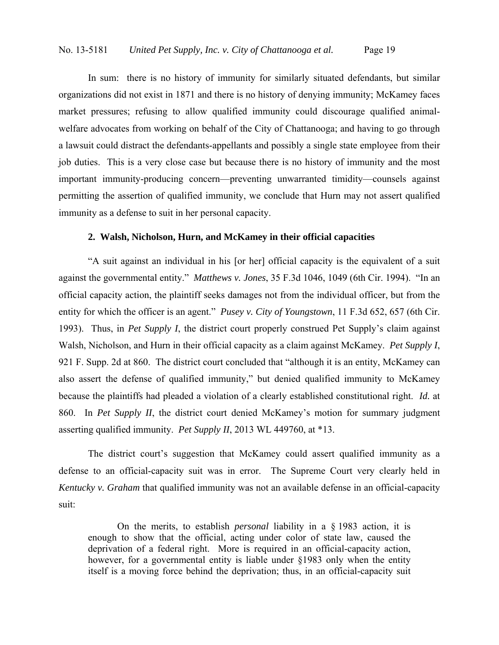In sum: there is no history of immunity for similarly situated defendants, but similar organizations did not exist in 1871 and there is no history of denying immunity; McKamey faces market pressures; refusing to allow qualified immunity could discourage qualified animalwelfare advocates from working on behalf of the City of Chattanooga; and having to go through a lawsuit could distract the defendants-appellants and possibly a single state employee from their job duties. This is a very close case but because there is no history of immunity and the most important immunity-producing concern—preventing unwarranted timidity—counsels against permitting the assertion of qualified immunity, we conclude that Hurn may not assert qualified immunity as a defense to suit in her personal capacity.

#### **2. Walsh, Nicholson, Hurn, and McKamey in their official capacities**

 "A suit against an individual in his [or her] official capacity is the equivalent of a suit against the governmental entity." *Matthews v. Jones*, 35 F.3d 1046, 1049 (6th Cir. 1994). "In an official capacity action, the plaintiff seeks damages not from the individual officer, but from the entity for which the officer is an agent." *Pusey v. City of Youngstown*, 11 F.3d 652, 657 (6th Cir. 1993). Thus, in *Pet Supply I*, the district court properly construed Pet Supply's claim against Walsh, Nicholson, and Hurn in their official capacity as a claim against McKamey. *Pet Supply I*, 921 F. Supp. 2d at 860. The district court concluded that "although it is an entity, McKamey can also assert the defense of qualified immunity," but denied qualified immunity to McKamey because the plaintiffs had pleaded a violation of a clearly established constitutional right. *Id.* at 860. In *Pet Supply II*, the district court denied McKamey's motion for summary judgment asserting qualified immunity. *Pet Supply II*, 2013 WL 449760, at \*13.

The district court's suggestion that McKamey could assert qualified immunity as a defense to an official-capacity suit was in error. The Supreme Court very clearly held in *Kentucky v. Graham* that qualified immunity was not an available defense in an official-capacity suit:

On the merits, to establish *personal* liability in a § 1983 action, it is enough to show that the official, acting under color of state law, caused the deprivation of a federal right. More is required in an official-capacity action, however, for a governmental entity is liable under §1983 only when the entity itself is a moving force behind the deprivation; thus, in an official-capacity suit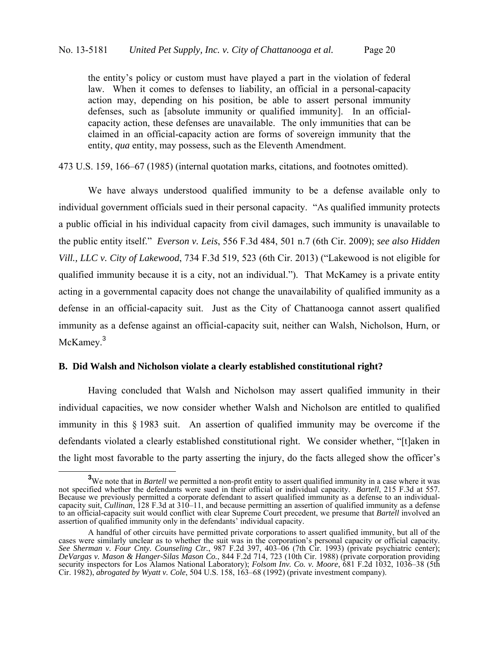the entity's policy or custom must have played a part in the violation of federal law. When it comes to defenses to liability, an official in a personal-capacity action may, depending on his position, be able to assert personal immunity defenses, such as [absolute immunity or qualified immunity]. In an officialcapacity action, these defenses are unavailable. The only immunities that can be claimed in an official-capacity action are forms of sovereign immunity that the entity, *qua* entity, may possess, such as the Eleventh Amendment.

473 U.S. 159, 166–67 (1985) (internal quotation marks, citations, and footnotes omitted).

We have always understood qualified immunity to be a defense available only to individual government officials sued in their personal capacity. "As qualified immunity protects a public official in his individual capacity from civil damages, such immunity is unavailable to the public entity itself." *Everson v. Leis*, 556 F.3d 484, 501 n.7 (6th Cir. 2009); *see also Hidden Vill., LLC v. City of Lakewood*, 734 F.3d 519, 523 (6th Cir. 2013) ("Lakewood is not eligible for qualified immunity because it is a city, not an individual."). That McKamey is a private entity acting in a governmental capacity does not change the unavailability of qualified immunity as a defense in an official-capacity suit. Just as the City of Chattanooga cannot assert qualified immunity as a defense against an official-capacity suit, neither can Walsh, Nicholson, Hurn, or McKamey.<sup>3</sup>

### **B. Did Walsh and Nicholson violate a clearly established constitutional right?**

Having concluded that Walsh and Nicholson may assert qualified immunity in their individual capacities, we now consider whether Walsh and Nicholson are entitled to qualified immunity in this § 1983 suit. An assertion of qualified immunity may be overcome if the defendants violated a clearly established constitutional right. We consider whether, "[t]aken in the light most favorable to the party asserting the injury, do the facts alleged show the officer's

**<sup>3</sup>** <sup>3</sup>We note that in *Bartell* we permitted a non-profit entity to assert qualified immunity in a case where it was not specified whether the defendants were sued in their official or individual capacity. *Bartell*, 215 F.3d at 557. Because we previously permitted a corporate defendant to assert qualified immunity as a defense to an individualcapacity suit, *Cullinan*, 128 F.3d at 310–11, and because permitting an assertion of qualified immunity as a defense to an official-capacity suit would conflict with clear Supreme Court precedent, we presume that *Bartell* involved an assertion of qualified immunity only in the defendants' individual capacity.

A handful of other circuits have permitted private corporations to assert qualified immunity, but all of the cases were similarly unclear as to whether the suit was in the corporation's personal capacity or official capacity. *See Sherman v. Four Cnty. Counseling Ctr.*, 987 F.2d 397, 403–06 (7th Cir. 1993) (private psychiatric center); *DeVargas v. Mason & Hanger-Silas Mason Co.*, 844 F.2d 714, 723 (10th Cir. 1988) (private corporation providing security inspectors for Los Alamos National Laboratory); *Folsom Inv. Co. v. Moore*, 681 F.2d 1032, 1036–38 (5th Cir. 1982), *abrogated by Wyatt v. Cole*, 504 U.S. 158, 163–68 (1992) (private investment company).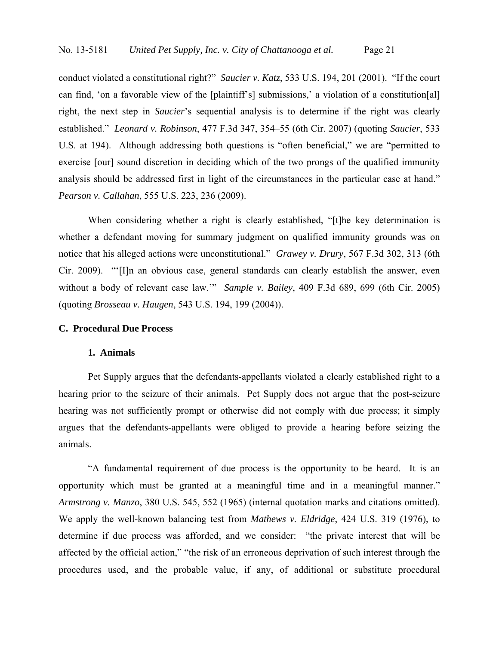conduct violated a constitutional right?" *Saucier v. Katz*, 533 U.S. 194, 201 (2001). "If the court can find, 'on a favorable view of the [plaintiff's] submissions,' a violation of a constitution[al] right, the next step in *Saucier*'s sequential analysis is to determine if the right was clearly established." *Leonard v. Robinson*, 477 F.3d 347, 354–55 (6th Cir. 2007) (quoting *Saucier*, 533 U.S. at 194). Although addressing both questions is "often beneficial," we are "permitted to exercise [our] sound discretion in deciding which of the two prongs of the qualified immunity analysis should be addressed first in light of the circumstances in the particular case at hand." *Pearson v. Callahan*, 555 U.S. 223, 236 (2009).

When considering whether a right is clearly established, "[t]he key determination is whether a defendant moving for summary judgment on qualified immunity grounds was on notice that his alleged actions were unconstitutional." *Grawey v. Drury*, 567 F.3d 302, 313 (6th Cir. 2009). "'[I]n an obvious case, general standards can clearly establish the answer, even without a body of relevant case law.'" *Sample v. Bailey*, 409 F.3d 689, 699 (6th Cir. 2005) (quoting *Brosseau v. Haugen*, 543 U.S. 194, 199 (2004)).

## **C. Procedural Due Process**

### **1. Animals**

 Pet Supply argues that the defendants-appellants violated a clearly established right to a hearing prior to the seizure of their animals. Pet Supply does not argue that the post-seizure hearing was not sufficiently prompt or otherwise did not comply with due process; it simply argues that the defendants-appellants were obliged to provide a hearing before seizing the animals.

 "A fundamental requirement of due process is the opportunity to be heard. It is an opportunity which must be granted at a meaningful time and in a meaningful manner." *Armstrong v. Manzo*, 380 U.S. 545, 552 (1965) (internal quotation marks and citations omitted). We apply the well-known balancing test from *Mathews v. Eldridge*, 424 U.S. 319 (1976), to determine if due process was afforded, and we consider: "the private interest that will be affected by the official action," "the risk of an erroneous deprivation of such interest through the procedures used, and the probable value, if any, of additional or substitute procedural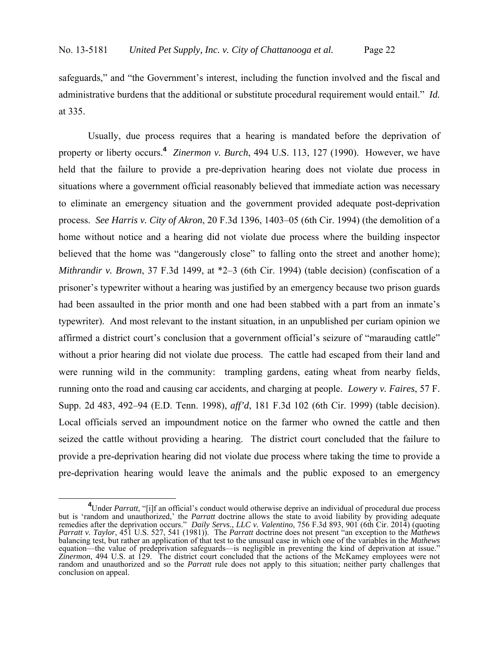safeguards," and "the Government's interest, including the function involved and the fiscal and administrative burdens that the additional or substitute procedural requirement would entail." *Id.*  at 335.

Usually, due process requires that a hearing is mandated before the deprivation of property or liberty occurs.**<sup>4</sup>**  *Zinermon v. Burch*, 494 U.S. 113, 127 (1990). However, we have held that the failure to provide a pre-deprivation hearing does not violate due process in situations where a government official reasonably believed that immediate action was necessary to eliminate an emergency situation and the government provided adequate post-deprivation process. *See Harris v. City of Akron*, 20 F.3d 1396, 1403–05 (6th Cir. 1994) (the demolition of a home without notice and a hearing did not violate due process where the building inspector believed that the home was "dangerously close" to falling onto the street and another home); *Mithrandir v. Brown*, 37 F.3d 1499, at \*2–3 (6th Cir. 1994) (table decision) (confiscation of a prisoner's typewriter without a hearing was justified by an emergency because two prison guards had been assaulted in the prior month and one had been stabbed with a part from an inmate's typewriter). And most relevant to the instant situation, in an unpublished per curiam opinion we affirmed a district court's conclusion that a government official's seizure of "marauding cattle" without a prior hearing did not violate due process. The cattle had escaped from their land and were running wild in the community: trampling gardens, eating wheat from nearby fields, running onto the road and causing car accidents, and charging at people. *Lowery v. Faires*, 57 F. Supp. 2d 483, 492–94 (E.D. Tenn. 1998), *aff'd*, 181 F.3d 102 (6th Cir. 1999) (table decision). Local officials served an impoundment notice on the farmer who owned the cattle and then seized the cattle without providing a hearing. The district court concluded that the failure to provide a pre-deprivation hearing did not violate due process where taking the time to provide a pre-deprivation hearing would leave the animals and the public exposed to an emergency

<sup>&</sup>lt;sup>4</sup>Under *Parratt*, "[i]f an official's conduct would otherwise deprive an individual of procedural due process but is 'random and unauthorized,' the *Parratt* doctrine allows the state to avoid liability by providing adequate remedies after the deprivation occurs." *Daily Servs., LLC v. Valentino*, 756 F.3d 893, 901 (6th Cir. 2014) (quoting *Parratt v. Taylor*, 451 U.S. 527, 541 (1981)). The *Parratt* doctrine does not present "an exception to the *Mathews*  balancing test, but rather an application of that test to the unusual case in which one of the variables in the *Mathews* equation—the value of predeprivation safeguards—is negligible in preventing the kind of deprivation at issue." *Zinermon*, 494 U.S. at 129. The district court concluded that the actions of the McKamey employees were not random and unauthorized and so the *Parratt* rule does not apply to this situation; neither party challenges that conclusion on appeal.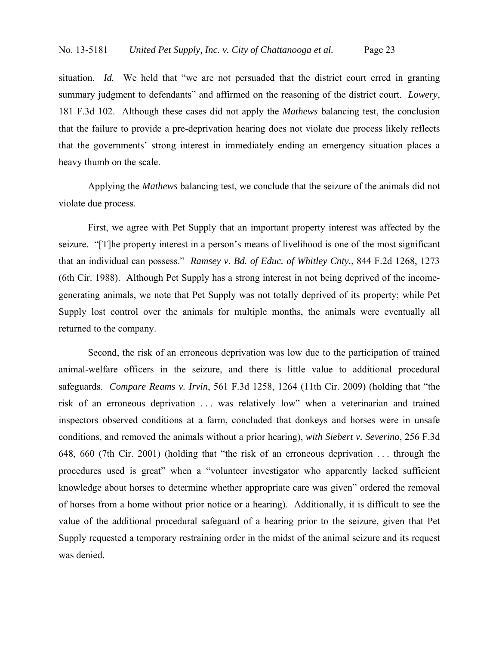situation. *Id.* We held that "we are not persuaded that the district court erred in granting summary judgment to defendants" and affirmed on the reasoning of the district court. *Lowery*, 181 F.3d 102. Although these cases did not apply the *Mathews* balancing test, the conclusion that the failure to provide a pre-deprivation hearing does not violate due process likely reflects that the governments' strong interest in immediately ending an emergency situation places a heavy thumb on the scale.

Applying the *Mathews* balancing test, we conclude that the seizure of the animals did not violate due process.

First, we agree with Pet Supply that an important property interest was affected by the seizure. "[T]he property interest in a person's means of livelihood is one of the most significant that an individual can possess." *Ramsey v. Bd. of Educ. of Whitley Cnty.*, 844 F.2d 1268, 1273 (6th Cir. 1988). Although Pet Supply has a strong interest in not being deprived of the incomegenerating animals, we note that Pet Supply was not totally deprived of its property; while Pet Supply lost control over the animals for multiple months, the animals were eventually all returned to the company.

Second, the risk of an erroneous deprivation was low due to the participation of trained animal-welfare officers in the seizure, and there is little value to additional procedural safeguards. *Compare Reams v. Irvin*, 561 F.3d 1258, 1264 (11th Cir. 2009) (holding that "the risk of an erroneous deprivation . . . was relatively low" when a veterinarian and trained inspectors observed conditions at a farm, concluded that donkeys and horses were in unsafe conditions, and removed the animals without a prior hearing), *with Siebert v. Severino*, 256 F.3d 648, 660 (7th Cir. 2001) (holding that "the risk of an erroneous deprivation . . . through the procedures used is great" when a "volunteer investigator who apparently lacked sufficient knowledge about horses to determine whether appropriate care was given" ordered the removal of horses from a home without prior notice or a hearing). Additionally, it is difficult to see the value of the additional procedural safeguard of a hearing prior to the seizure, given that Pet Supply requested a temporary restraining order in the midst of the animal seizure and its request was denied.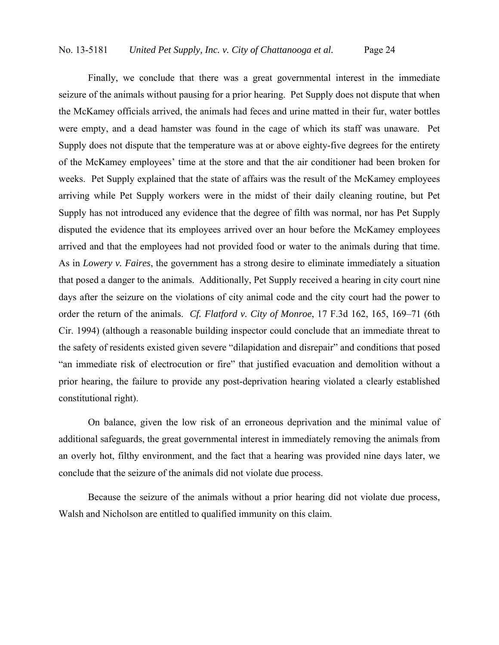Finally, we conclude that there was a great governmental interest in the immediate seizure of the animals without pausing for a prior hearing. Pet Supply does not dispute that when the McKamey officials arrived, the animals had feces and urine matted in their fur, water bottles were empty, and a dead hamster was found in the cage of which its staff was unaware. Pet Supply does not dispute that the temperature was at or above eighty-five degrees for the entirety of the McKamey employees' time at the store and that the air conditioner had been broken for weeks. Pet Supply explained that the state of affairs was the result of the McKamey employees arriving while Pet Supply workers were in the midst of their daily cleaning routine, but Pet Supply has not introduced any evidence that the degree of filth was normal, nor has Pet Supply disputed the evidence that its employees arrived over an hour before the McKamey employees arrived and that the employees had not provided food or water to the animals during that time. As in *Lowery v. Faires*, the government has a strong desire to eliminate immediately a situation that posed a danger to the animals. Additionally, Pet Supply received a hearing in city court nine days after the seizure on the violations of city animal code and the city court had the power to order the return of the animals. *Cf. Flatford v. City of Monroe*, 17 F.3d 162, 165, 169–71 (6th Cir. 1994) (although a reasonable building inspector could conclude that an immediate threat to the safety of residents existed given severe "dilapidation and disrepair" and conditions that posed "an immediate risk of electrocution or fire" that justified evacuation and demolition without a prior hearing, the failure to provide any post-deprivation hearing violated a clearly established constitutional right).

On balance, given the low risk of an erroneous deprivation and the minimal value of additional safeguards, the great governmental interest in immediately removing the animals from an overly hot, filthy environment, and the fact that a hearing was provided nine days later, we conclude that the seizure of the animals did not violate due process.

Because the seizure of the animals without a prior hearing did not violate due process, Walsh and Nicholson are entitled to qualified immunity on this claim.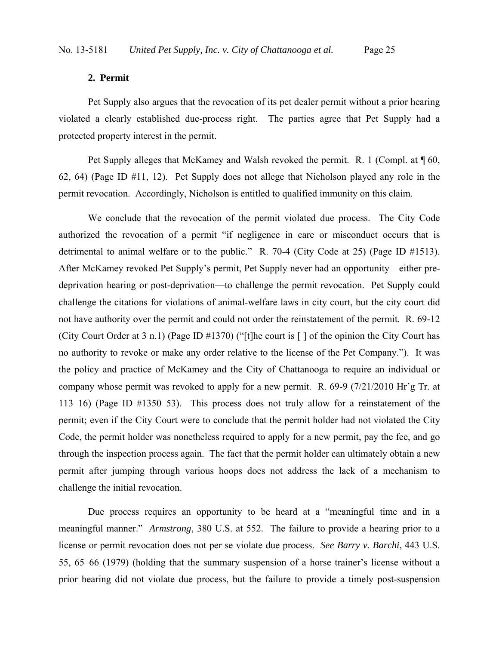### **2. Permit**

 Pet Supply also argues that the revocation of its pet dealer permit without a prior hearing violated a clearly established due-process right. The parties agree that Pet Supply had a protected property interest in the permit.

Pet Supply alleges that McKamey and Walsh revoked the permit. R. 1 (Compl. at  $\P$  60, 62, 64) (Page ID #11, 12). Pet Supply does not allege that Nicholson played any role in the permit revocation. Accordingly, Nicholson is entitled to qualified immunity on this claim.

 We conclude that the revocation of the permit violated due process. The City Code authorized the revocation of a permit "if negligence in care or misconduct occurs that is detrimental to animal welfare or to the public." R. 70-4 (City Code at 25) (Page ID #1513). After McKamey revoked Pet Supply's permit, Pet Supply never had an opportunity—either predeprivation hearing or post-deprivation—to challenge the permit revocation. Pet Supply could challenge the citations for violations of animal-welfare laws in city court, but the city court did not have authority over the permit and could not order the reinstatement of the permit. R. 69-12 (City Court Order at 3 n.1) (Page ID #1370) ("[t]he court is [ ] of the opinion the City Court has no authority to revoke or make any order relative to the license of the Pet Company."). It was the policy and practice of McKamey and the City of Chattanooga to require an individual or company whose permit was revoked to apply for a new permit. R. 69-9 (7/21/2010 Hr'g Tr. at 113–16) (Page ID #1350–53). This process does not truly allow for a reinstatement of the permit; even if the City Court were to conclude that the permit holder had not violated the City Code, the permit holder was nonetheless required to apply for a new permit, pay the fee, and go through the inspection process again. The fact that the permit holder can ultimately obtain a new permit after jumping through various hoops does not address the lack of a mechanism to challenge the initial revocation.

Due process requires an opportunity to be heard at a "meaningful time and in a meaningful manner." *Armstrong*, 380 U.S. at 552. The failure to provide a hearing prior to a license or permit revocation does not per se violate due process. *See Barry v. Barchi*, 443 U.S. 55, 65–66 (1979) (holding that the summary suspension of a horse trainer's license without a prior hearing did not violate due process, but the failure to provide a timely post-suspension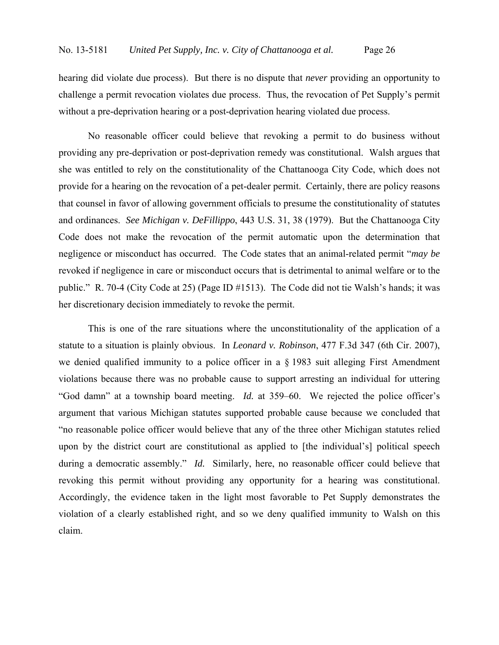hearing did violate due process). But there is no dispute that *never* providing an opportunity to challenge a permit revocation violates due process. Thus, the revocation of Pet Supply's permit without a pre-deprivation hearing or a post-deprivation hearing violated due process.

No reasonable officer could believe that revoking a permit to do business without providing any pre-deprivation or post-deprivation remedy was constitutional. Walsh argues that she was entitled to rely on the constitutionality of the Chattanooga City Code, which does not provide for a hearing on the revocation of a pet-dealer permit. Certainly, there are policy reasons that counsel in favor of allowing government officials to presume the constitutionality of statutes and ordinances. *See Michigan v. DeFillippo*, 443 U.S. 31, 38 (1979). But the Chattanooga City Code does not make the revocation of the permit automatic upon the determination that negligence or misconduct has occurred. The Code states that an animal-related permit "*may be* revoked if negligence in care or misconduct occurs that is detrimental to animal welfare or to the public." R. 70-4 (City Code at 25) (Page ID #1513). The Code did not tie Walsh's hands; it was her discretionary decision immediately to revoke the permit.

This is one of the rare situations where the unconstitutionality of the application of a statute to a situation is plainly obvious. In *Leonard v. Robinson*, 477 F.3d 347 (6th Cir. 2007), we denied qualified immunity to a police officer in a § 1983 suit alleging First Amendment violations because there was no probable cause to support arresting an individual for uttering "God damn" at a township board meeting. *Id.* at 359–60. We rejected the police officer's argument that various Michigan statutes supported probable cause because we concluded that "no reasonable police officer would believe that any of the three other Michigan statutes relied upon by the district court are constitutional as applied to [the individual's] political speech during a democratic assembly." *Id.* Similarly, here, no reasonable officer could believe that revoking this permit without providing any opportunity for a hearing was constitutional. Accordingly, the evidence taken in the light most favorable to Pet Supply demonstrates the violation of a clearly established right, and so we deny qualified immunity to Walsh on this claim.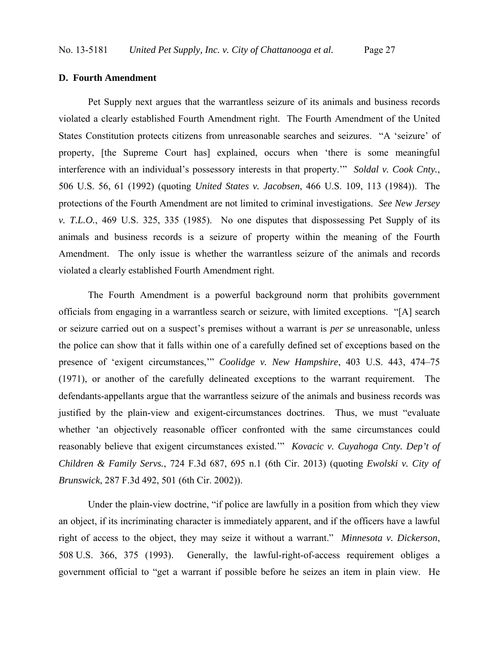### **D. Fourth Amendment**

Pet Supply next argues that the warrantless seizure of its animals and business records violated a clearly established Fourth Amendment right. The Fourth Amendment of the United States Constitution protects citizens from unreasonable searches and seizures. "A 'seizure' of property, [the Supreme Court has] explained, occurs when 'there is some meaningful interference with an individual's possessory interests in that property.'" *Soldal v. Cook Cnty.*, 506 U.S. 56, 61 (1992) (quoting *United States v. Jacobsen*, 466 U.S. 109, 113 (1984)). The protections of the Fourth Amendment are not limited to criminal investigations. *See New Jersey v. T.L.O.*, 469 U.S. 325, 335 (1985). No one disputes that dispossessing Pet Supply of its animals and business records is a seizure of property within the meaning of the Fourth Amendment. The only issue is whether the warrantless seizure of the animals and records violated a clearly established Fourth Amendment right.

The Fourth Amendment is a powerful background norm that prohibits government officials from engaging in a warrantless search or seizure, with limited exceptions. "[A] search or seizure carried out on a suspect's premises without a warrant is *per se* unreasonable, unless the police can show that it falls within one of a carefully defined set of exceptions based on the presence of 'exigent circumstances,'" *Coolidge v. New Hampshire*, 403 U.S. 443, 474–75 (1971), or another of the carefully delineated exceptions to the warrant requirement. The defendants-appellants argue that the warrantless seizure of the animals and business records was justified by the plain-view and exigent-circumstances doctrines. Thus, we must "evaluate whether 'an objectively reasonable officer confronted with the same circumstances could reasonably believe that exigent circumstances existed.'" *Kovacic v. Cuyahoga Cnty. Dep't of Children & Family Servs.*, 724 F.3d 687, 695 n.1 (6th Cir. 2013) (quoting *Ewolski v. City of Brunswick*, 287 F.3d 492, 501 (6th Cir. 2002)).

Under the plain-view doctrine, "if police are lawfully in a position from which they view an object, if its incriminating character is immediately apparent, and if the officers have a lawful right of access to the object, they may seize it without a warrant." *Minnesota v. Dickerson*, 508 U.S. 366, 375 (1993). Generally, the lawful-right-of-access requirement obliges a government official to "get a warrant if possible before he seizes an item in plain view. He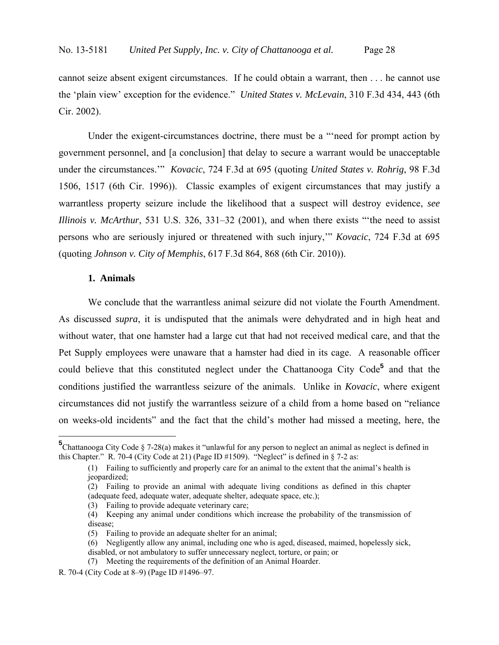cannot seize absent exigent circumstances. If he could obtain a warrant, then . . . he cannot use the 'plain view' exception for the evidence." *United States v. McLevain*, 310 F.3d 434, 443 (6th Cir. 2002).

Under the exigent-circumstances doctrine, there must be a "'need for prompt action by government personnel, and [a conclusion] that delay to secure a warrant would be unacceptable under the circumstances.'" *Kovacic*, 724 F.3d at 695 (quoting *United States v. Rohrig*, 98 F.3d 1506, 1517 (6th Cir. 1996)). Classic examples of exigent circumstances that may justify a warrantless property seizure include the likelihood that a suspect will destroy evidence, *see Illinois v. McArthur*, 531 U.S. 326, 331–32 (2001), and when there exists "'the need to assist persons who are seriously injured or threatened with such injury,'" *Kovacic*, 724 F.3d at 695 (quoting *Johnson v. City of Memphis*, 617 F.3d 864, 868 (6th Cir. 2010)).

## **1. Animals**

<u>.</u>

We conclude that the warrantless animal seizure did not violate the Fourth Amendment. As discussed *supra*, it is undisputed that the animals were dehydrated and in high heat and without water, that one hamster had a large cut that had not received medical care, and that the Pet Supply employees were unaware that a hamster had died in its cage. A reasonable officer could believe that this constituted neglect under the Chattanooga City Code**<sup>5</sup>** and that the conditions justified the warrantless seizure of the animals. Unlike in *Kovacic*, where exigent circumstances did not justify the warrantless seizure of a child from a home based on "reliance on weeks-old incidents" and the fact that the child's mother had missed a meeting, here, the

**<sup>5</sup>** Chattanooga City Code § 7-28(a) makes it "unlawful for any person to neglect an animal as neglect is defined in this Chapter." R. 70-4 (City Code at 21) (Page ID #1509). "Neglect" is defined in § 7-2 as:

<sup>(1)</sup> Failing to sufficiently and properly care for an animal to the extent that the animal's health is jeopardized;

<sup>(2)</sup> Failing to provide an animal with adequate living conditions as defined in this chapter (adequate feed, adequate water, adequate shelter, adequate space, etc.);

<sup>(3)</sup> Failing to provide adequate veterinary care;

<sup>(4)</sup> Keeping any animal under conditions which increase the probability of the transmission of disease;

<sup>(5)</sup> Failing to provide an adequate shelter for an animal;

<sup>(6)</sup> Negligently allow any animal, including one who is aged, diseased, maimed, hopelessly sick,

disabled, or not ambulatory to suffer unnecessary neglect, torture, or pain; or

<sup>(7)</sup> Meeting the requirements of the definition of an Animal Hoarder.

R. 70-4 (City Code at 8–9) (Page ID #1496–97.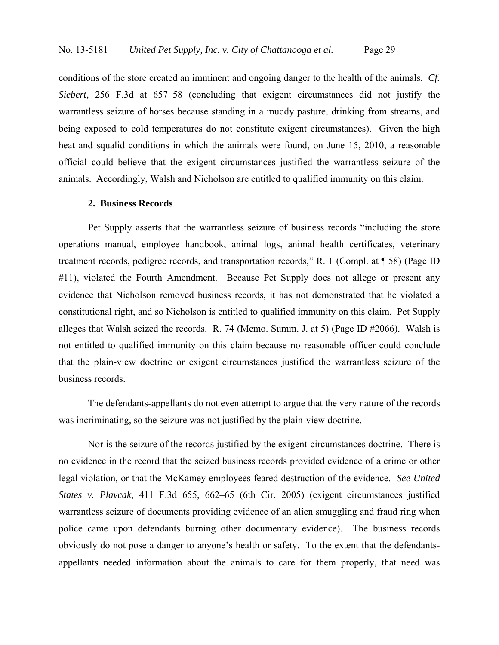conditions of the store created an imminent and ongoing danger to the health of the animals. *Cf. Siebert*, 256 F.3d at 657–58 (concluding that exigent circumstances did not justify the warrantless seizure of horses because standing in a muddy pasture, drinking from streams, and being exposed to cold temperatures do not constitute exigent circumstances). Given the high heat and squalid conditions in which the animals were found, on June 15, 2010, a reasonable official could believe that the exigent circumstances justified the warrantless seizure of the animals. Accordingly, Walsh and Nicholson are entitled to qualified immunity on this claim.

## **2. Business Records**

 Pet Supply asserts that the warrantless seizure of business records "including the store operations manual, employee handbook, animal logs, animal health certificates, veterinary treatment records, pedigree records, and transportation records," R. 1 (Compl. at ¶ 58) (Page ID #11), violated the Fourth Amendment. Because Pet Supply does not allege or present any evidence that Nicholson removed business records, it has not demonstrated that he violated a constitutional right, and so Nicholson is entitled to qualified immunity on this claim. Pet Supply alleges that Walsh seized the records. R. 74 (Memo. Summ. J. at 5) (Page ID #2066). Walsh is not entitled to qualified immunity on this claim because no reasonable officer could conclude that the plain-view doctrine or exigent circumstances justified the warrantless seizure of the business records.

The defendants-appellants do not even attempt to argue that the very nature of the records was incriminating, so the seizure was not justified by the plain-view doctrine.

Nor is the seizure of the records justified by the exigent-circumstances doctrine. There is no evidence in the record that the seized business records provided evidence of a crime or other legal violation, or that the McKamey employees feared destruction of the evidence. *See United States v. Plavcak*, 411 F.3d 655, 662–65 (6th Cir. 2005) (exigent circumstances justified warrantless seizure of documents providing evidence of an alien smuggling and fraud ring when police came upon defendants burning other documentary evidence). The business records obviously do not pose a danger to anyone's health or safety. To the extent that the defendantsappellants needed information about the animals to care for them properly, that need was